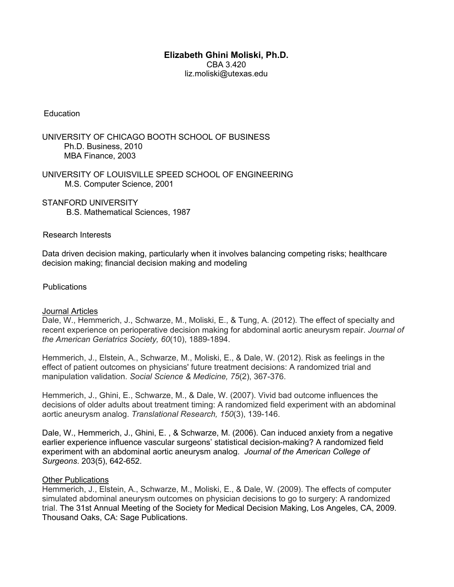# **Elizabeth Ghini Moliski, Ph.D.** CBA 3.420 liz.moliski@utexas.edu

#### **Education**

UNIVERSITY OF CHICAGO BOOTH SCHOOL OF BUSINESS Ph.D. Business, 2010 MBA Finance, 2003

UNIVERSITY OF LOUISVILLE SPEED SCHOOL OF ENGINEERING M.S. Computer Science, 2001

STANFORD UNIVERSITY B.S. Mathematical Sciences, 1987

#### Research Interests

Data driven decision making, particularly when it involves balancing competing risks; healthcare decision making; financial decision making and modeling

# **Publications**

#### Journal Articles

Dale, W., Hemmerich, J., Schwarze, M., Moliski, E., & Tung, A. (2012). The effect of specialty and recent experience on perioperative decision making for abdominal aortic aneurysm repair. *Journal of the American Geriatrics Society, 60*(10), 1889-1894.

Hemmerich, J., Elstein, A., Schwarze, M., Moliski, E., & Dale, W. (2012). Risk as feelings in the effect of patient outcomes on physicians' future treatment decisions: A randomized trial and manipulation validation. *Social Science & Medicine, 75*(2), 367-376.

Hemmerich, J., Ghini, E., Schwarze, M., & Dale, W. (2007). Vivid bad outcome influences the decisions of older adults about treatment timing: A randomized field experiment with an abdominal aortic aneurysm analog. *Translational Research, 150*(3), 139-146.

Dale, W., Hemmerich, J., Ghini, E. , & Schwarze, M. (2006). Can induced anxiety from a negative earlier experience influence vascular surgeons' statistical decision-making? A randomized field experiment with an abdominal aortic aneurysm analog. *Journal of the American College of Surgeons*. 203(5), 642-652.

#### Other Publications

Hemmerich, J., Elstein, A., Schwarze, M., Moliski, E., & Dale, W. (2009). The effects of computer simulated abdominal aneurysm outcomes on physician decisions to go to surgery: A randomized trial. The 31st Annual Meeting of the Society for Medical Decision Making, Los Angeles, CA, 2009. Thousand Oaks, CA: Sage Publications.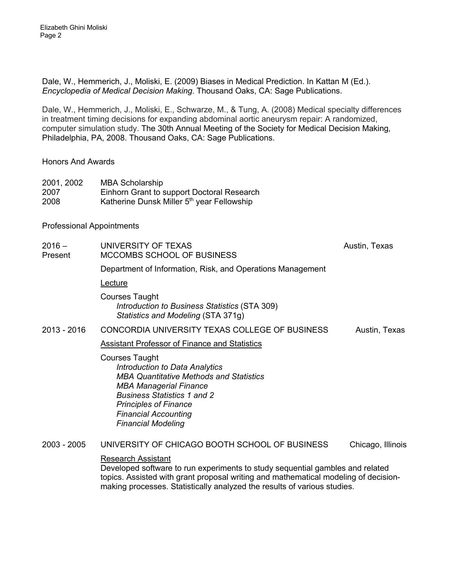Dale, W., Hemmerich, J., Moliski, E. (2009) Biases in Medical Prediction. In Kattan M (Ed.). *Encyclopedia of Medical Decision Making*. Thousand Oaks, CA: Sage Publications.

Dale, W., Hemmerich, J., Moliski, E., Schwarze, M., & Tung, A. (2008) Medical specialty differences in treatment timing decisions for expanding abdominal aortic aneurysm repair: A randomized, computer simulation study. The 30th Annual Meeting of the Society for Medical Decision Making, Philadelphia, PA, 2008. Thousand Oaks, CA: Sage Publications.

# Honors And Awards

| 2001, 2002 | <b>MBA Scholarship</b>                                 |
|------------|--------------------------------------------------------|
| 2007       | Einhorn Grant to support Doctoral Research             |
| 2008       | Katherine Dunsk Miller 5 <sup>th</sup> year Fellowship |

# Professional Appointments

| $2016 -$<br>Present | UNIVERSITY OF TEXAS<br>MCCOMBS SCHOOL OF BUSINESS                                                                                                                                                                                                                            | Austin, Texas     |
|---------------------|------------------------------------------------------------------------------------------------------------------------------------------------------------------------------------------------------------------------------------------------------------------------------|-------------------|
|                     | Department of Information, Risk, and Operations Management                                                                                                                                                                                                                   |                   |
|                     | Lecture                                                                                                                                                                                                                                                                      |                   |
|                     | <b>Courses Taught</b><br>Introduction to Business Statistics (STA 309)<br>Statistics and Modeling (STA 371g)                                                                                                                                                                 |                   |
| $2013 - 2016$       | CONCORDIA UNIVERSITY TEXAS COLLEGE OF BUSINESS                                                                                                                                                                                                                               | Austin, Texas     |
|                     | <b>Assistant Professor of Finance and Statistics</b>                                                                                                                                                                                                                         |                   |
|                     | <b>Courses Taught</b><br>Introduction to Data Analytics<br><b>MBA Quantitative Methods and Statistics</b><br><b>MBA Managerial Finance</b><br><b>Business Statistics 1 and 2</b><br><b>Principles of Finance</b><br><b>Financial Accounting</b><br><b>Financial Modeling</b> |                   |
| $2003 - 2005$       | UNIVERSITY OF CHICAGO BOOTH SCHOOL OF BUSINESS                                                                                                                                                                                                                               | Chicago, Illinois |
|                     | <b>Research Assistant</b><br>Developed software to run experiments to study sequential gambles and related<br>teries. Accided with arent prepared writing and methematical medaling of decision                                                                              |                   |

topics. Assisted with grant proposal writing and mathematical modeling of decisionmaking processes. Statistically analyzed the results of various studies.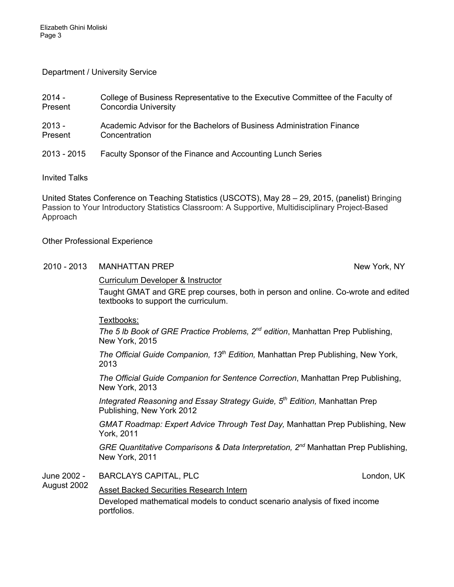### Department / University Service

| 2014 -      | College of Business Representative to the Executive Committee of the Faculty of |
|-------------|---------------------------------------------------------------------------------|
| Present     | <b>Concordia University</b>                                                     |
| $2013 -$    | Academic Advisor for the Bachelors of Business Administration Finance           |
| Present     | Concentration                                                                   |
| 2013 - 2015 | Faculty Sponsor of the Finance and Accounting Lunch Series                      |

Invited Talks

United States Conference on Teaching Statistics (USCOTS), May 28 – 29, 2015, (panelist) Bringing Passion to Your Introductory Statistics Classroom: A Supportive, Multidisciplinary Project-Based Approach

# Other Professional Experience

#### 2010 - 2013 MANHATTAN PREP New York, NY

#### Curriculum Developer & Instructor

Taught GMAT and GRE prep courses, both in person and online. Co-wrote and edited textbooks to support the curriculum.

Textbooks:

*The 5 lb Book of GRE Practice Problems, 2nd edition*, Manhattan Prep Publishing, New York, 2015

*The Official Guide Companion, 13th Edition,* Manhattan Prep Publishing, New York, 2013

*The Official Guide Companion for Sentence Correction*, Manhattan Prep Publishing, New York, 2013

*Integrated Reasoning and Essay Strategy Guide, 5th Edition,* Manhattan Prep Publishing, New York 2012

*GMAT Roadmap: Expert Advice Through Test Day,* Manhattan Prep Publishing, New York, 2011

*GRE Quantitative Comparisons & Data Interpretation, 2nd* Manhattan Prep Publishing, New York, 2011

June 2002 - BARCLAYS CAPITAL, PLC **CONTRACT CONTRACT CONTRACT CONTRACT CONTRACT CONTRACT CONTRACT CONTRACT CONTRACT CONTRACT** 

#### August 2002 Asset Backed Securities Research Intern

Developed mathematical models to conduct scenario analysis of fixed income portfolios.